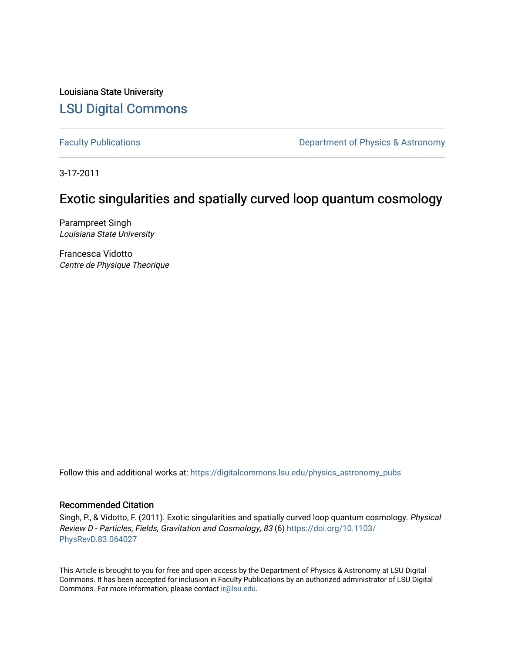Louisiana State University [LSU Digital Commons](https://digitalcommons.lsu.edu/)

[Faculty Publications](https://digitalcommons.lsu.edu/physics_astronomy_pubs) **Exercise 2** Constant Department of Physics & Astronomy

3-17-2011

# Exotic singularities and spatially curved loop quantum cosmology

Parampreet Singh Louisiana State University

Francesca Vidotto Centre de Physique Theorique

Follow this and additional works at: [https://digitalcommons.lsu.edu/physics\\_astronomy\\_pubs](https://digitalcommons.lsu.edu/physics_astronomy_pubs?utm_source=digitalcommons.lsu.edu%2Fphysics_astronomy_pubs%2F5066&utm_medium=PDF&utm_campaign=PDFCoverPages) 

# Recommended Citation

Singh, P., & Vidotto, F. (2011). Exotic singularities and spatially curved loop quantum cosmology. Physical Review D - Particles, Fields, Gravitation and Cosmology, 83 (6) [https://doi.org/10.1103/](https://doi.org/10.1103/PhysRevD.83.064027) [PhysRevD.83.064027](https://doi.org/10.1103/PhysRevD.83.064027)

This Article is brought to you for free and open access by the Department of Physics & Astronomy at LSU Digital Commons. It has been accepted for inclusion in Faculty Publications by an authorized administrator of LSU Digital Commons. For more information, please contact [ir@lsu.edu](mailto:ir@lsu.edu).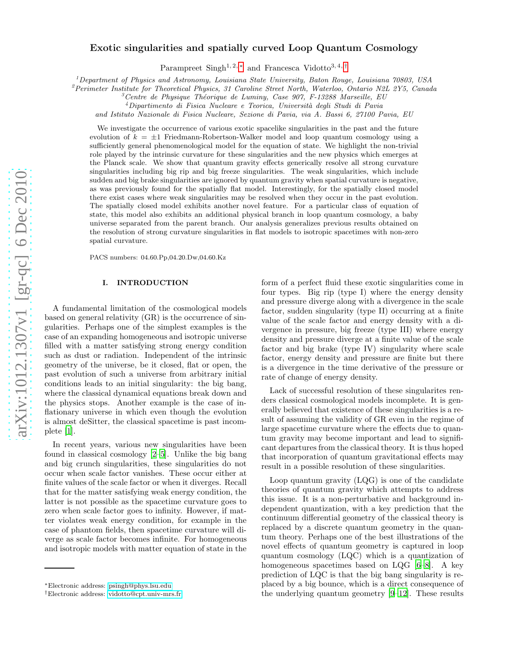## Exotic singularities and spatially curved Loop Quantum Cosmology

Parampreet Singh<sup>1,2,\*</sup> and Francesca Vidotto<sup>3,4,[†](#page-1-1)</sup>

<sup>1</sup>*Department of Physics and Astronomy, Louisiana State University, Baton Rouge, Louisiana 70803, USA*

<sup>2</sup> Perimeter Institute for Theoretical Physics, 31 Caroline Street North, Waterloo, Ontario N2L 2Y5, Canada<br><sup>3</sup> Centre de Physique Théorique de Luminy, Case 907, F-13288 Marseille, EU<br><sup>4</sup> Dipartimento di Fisica Nucleare

*and Istituto Nazionale di Fisica Nucleare, Sezione di Pavia, via A. Bassi 6, 27100 Pavia, EU*

We investigate the occurrence of various exotic spacelike singularities in the past and the future evolution of  $k = \pm 1$  Friedmann-Robertson-Walker model and loop quantum cosmology using a sufficiently general phenomenological model for the equation of state. We highlight the non-trivial role played by the intrinsic curvature for these singularities and the new physics which emerges at the Planck scale. We show that quantum gravity effects generically resolve all strong curvature singularities including big rip and big freeze singularities. The weak singularities, which include sudden and big brake singularities are ignored by quantum gravity when spatial curvature is negative, as was previously found for the spatially flat model. Interestingly, for the spatially closed model there exist cases where weak singularities may be resolved when they occur in the past evolution. The spatially closed model exhibits another novel feature. For a particular class of equation of state, this model also exhibits an additional physical branch in loop quantum cosmology, a baby universe separated from the parent branch. Our analysis generalizes previous results obtained on the resolution of strong curvature singularities in flat models to isotropic spacetimes with non-zero spatial curvature.

PACS numbers: 04.60.Pp,04.20.Dw,04.60.Kz

#### I. INTRODUCTION

A fundamental limitation of the cosmological models based on general relativity (GR) is the occurrence of singularities. Perhaps one of the simplest examples is the case of an expanding homogeneous and isotropic universe filled with a matter satisfying strong energy condition such as dust or radiation. Independent of the intrinsic geometry of the universe, be it closed, flat or open, the past evolution of such a universe from arbitrary initial conditions leads to an initial singularity: the big bang, where the classical dynamical equations break down and the physics stops. Another example is the case of inflationary universe in which even though the evolution is almost deSitter, the classical spacetime is past incomplete [\[1](#page-11-0)].

In recent years, various new singularities have been found in classical cosmology [\[2](#page-11-1)[–5\]](#page-11-2). Unlike the big bang and big crunch singularities, these singularities do not occur when scale factor vanishes. These occur either at finite values of the scale factor or when it diverges. Recall that for the matter satisfying weak energy condition, the latter is not possible as the spacetime curvature goes to zero when scale factor goes to infinity. However, if matter violates weak energy condition, for example in the case of phantom fields, then spacetime curvature will diverge as scale factor becomes infinite. For homogeneous and isotropic models with matter equation of state in the

form of a perfect fluid these exotic singularities come in four types. Big rip (type I) where the energy density and pressure diverge along with a divergence in the scale factor, sudden singularity (type II) occurring at a finite value of the scale factor and energy density with a divergence in pressure, big freeze (type III) where energy density and pressure diverge at a finite value of the scale factor and big brake (type IV) singularity where scale factor, energy density and pressure are finite but there is a divergence in the time derivative of the pressure or rate of change of energy density.

Lack of successful resolution of these singularites renders classical cosmological models incomplete. It is generally believed that existence of these singularities is a result of assuming the validity of GR even in the regime of large spacetime curvature where the effects due to quantum gravity may become important and lead to significant departures from the classical theory. It is thus hoped that incorporation of quantum gravitational effects may result in a possible resolution of these singularities.

Loop quantum gravity (LQG) is one of the candidate theories of quantum gravity which attempts to address this issue. It is a non-perturbative and background independent quantization, with a key prediction that the continuum differential geometry of the classical theory is replaced by a discrete quantum geometry in the quantum theory. Perhaps one of the best illustrations of the novel effects of quantum geometry is captured in loop quantum cosmology (LQC) which is a quantization of homogeneous spacetimes based on LQG [\[6](#page-12-0)[–8](#page-12-1)]. A key prediction of LQC is that the big bang singularity is replaced by a big bounce, which is a direct consequence of the underlying quantum geometry [\[9](#page-12-2)[–12\]](#page-12-3). These results

<span id="page-1-0"></span><sup>∗</sup>Electronic address: [psingh@phys.lsu.edu](mailto:psingh@phys.lsu.edu)

<span id="page-1-1"></span><sup>†</sup>Electronic address: [vidotto@cpt.univ-mrs.fr](mailto:vidotto@cpt.univ-mrs.fr)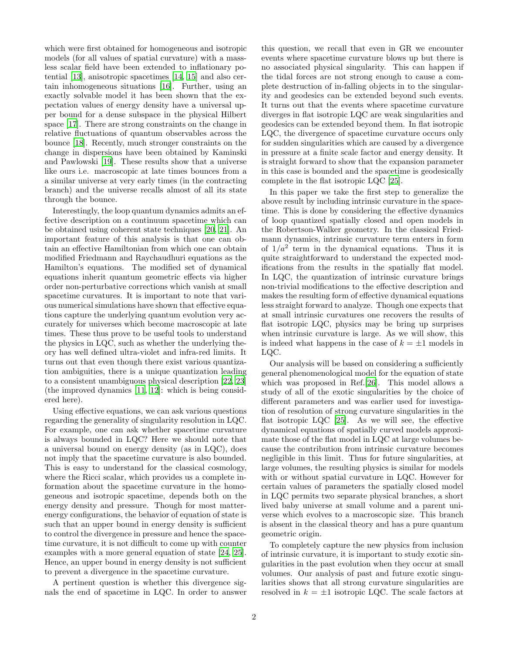which were first obtained for homogeneous and isotropic models (for all values of spatial curvature) with a massless scalar field have been extended to inflationary potential [\[13](#page-12-4)], anisotropic spacetimes [\[14](#page-12-5), [15](#page-12-6)] and also certain inhomogeneous situations [\[16](#page-12-7)]. Further, using an exactly solvable model it has been shown that the expectation values of energy density have a universal upper bound for a dense subspace in the physical Hilbert space [\[17\]](#page-12-8). There are strong constraints on the change in relative fluctuations of quantum observables across the bounce [\[18\]](#page-12-9). Recently, much stronger constraints on the change in dispersions have been obtained by Kaminski and Pawlowski [\[19](#page-12-10)]. These results show that a universe like ours i.e. macroscopic at late times bounces from a a similar universe at very early times (in the contracting branch) and the universe recalls almost of all its state through the bounce.

Interestingly, the loop quantum dynamics admits an effective description on a continuum spacetime which can be obtained using coherent state techniques [\[20](#page-12-11), [21](#page-12-12)]. An important feature of this analysis is that one can obtain an effective Hamiltonian from which one can obtain modified Friedmann and Raychaudhuri equations as the Hamilton's equations. The modified set of dynamical equations inherit quantum geometric effects via higher order non-perturbative corrections which vanish at small spacetime curvatures. It is important to note that various numerical simulations have shown that effective equations capture the underlying quantum evolution very accurately for universes which become macroscopic at late times. These thus prove to be useful tools to understand the physics in LQC, such as whether the underlying theory has well defined ultra-violet and infra-red limits. It turns out that even though there exist various quantization ambiguities, there is a unique quantization leading to a consistent unambiguous physical description [\[22,](#page-12-13) [23](#page-12-14)] (the improved dynamics [\[11,](#page-12-15) [12](#page-12-3)]: which is being considered here).

Using effective equations, we can ask various questions regarding the generality of singularity resolution in LQC. For example, one can ask whether spacetime curvature is always bounded in LQC? Here we should note that a universal bound on energy density (as in LQC), does not imply that the spacetime curvature is also bounded. This is easy to understand for the classical cosmology, where the Ricci scalar, which provides us a complete information about the spacetime curvature in the homogeneous and isotropic spacetime, depends both on the energy density and pressure. Though for most matterenergy configurations, the behavior of equation of state is such that an upper bound in energy density is sufficient to control the divergence in pressure and hence the spacetime curvature, it is not difficult to come up with counter examples with a more general equation of state [\[24](#page-12-16), [25\]](#page-12-17). Hence, an upper bound in energy density is not sufficient to prevent a divergence in the spacetime curvature.

A pertinent question is whether this divergence signals the end of spacetime in LQC. In order to answer

this question, we recall that even in GR we encounter events where spacetime curvature blows up but there is no associated physical singularity. This can happen if the tidal forces are not strong enough to cause a complete destruction of in-falling objects in to the singularity and geodesics can be extended beyond such events. It turns out that the events where spacetime curvature diverges in flat isotropic LQC are weak singularities and geodesics can be extended beyond them. In flat isotropic LQC, the divergence of spacetime curvature occurs only for sudden singularities which are caused by a divergence in pressure at a finite scale factor and energy density. It is straight forward to show that the expansion parameter in this case is bounded and the spacetime is geodesically complete in the flat isotropic LQC [\[25](#page-12-17)].

In this paper we take the first step to generalize the above result by including intrinsic curvature in the spacetime. This is done by considering the effective dynamics of loop quantized spatially closed and open models in the Robertson-Walker geometry. In the classical Friedmann dynamics, intrinsic curvature term enters in form of  $1/a^2$  term in the dynamical equations. Thus it is quite straightforward to understand the expected modifications from the results in the spatially flat model. In LQC, the quantization of intrinsic curvature brings non-trivial modifications to the effective description and makes the resulting form of effective dynamical equations less straight forward to analyze. Though one expects that at small intrinsic curvatures one recovers the results of flat isotropic LQC, physics may be bring up surprises when intrinsic curvature is large. As we will show, this is indeed what happens in the case of  $k = \pm 1$  models in LQC.

Our analysis will be based on considering a sufficiently general phenomenological model for the equation of state which was proposed in Ref.[\[26\]](#page-12-18). This model allows a study of all of the exotic singularities by the choice of different parameters and was earlier used for investigation of resolution of strong curvature singularities in the flat isotropic LQC [\[25\]](#page-12-17). As we will see, the effective dynamical equations of spatially curved models approximate those of the flat model in LQC at large volumes because the contribution from intrinsic curvature becomes negligible in this limit. Thus for future singularities, at large volumes, the resulting physics is similar for models with or without spatial curvature in LQC. However for certain values of parameters the spatially closed model in LQC permits two separate physical branches, a short lived baby universe at small volume and a parent universe which evolves to a macroscopic size. This branch is absent in the classical theory and has a pure quantum geometric origin.

To completely capture the new physics from inclusion of intrinsic curvature, it is important to study exotic singularities in the past evolution when they occur at small volumes. Our analysis of past and future exotic singularities shows that all strong curvature singularities are resolved in  $k = \pm 1$  isotropic LQC. The scale factors at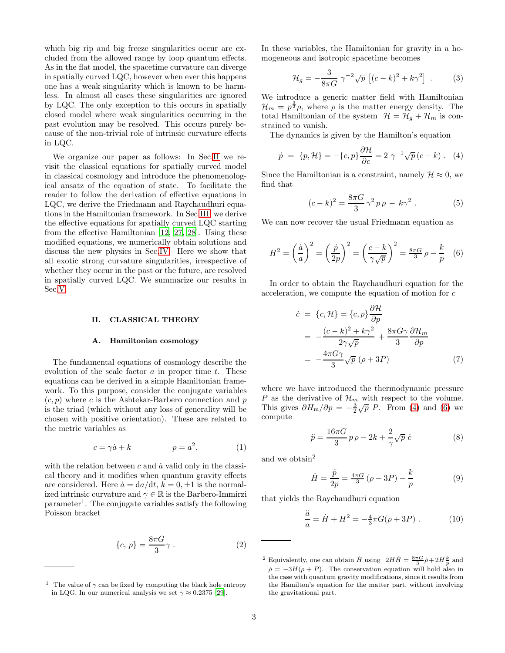which big rip and big freeze singularities occur are excluded from the allowed range by loop quantum effects. As in the flat model, the spacetime curvature can diverge in spatially curved LQC, however when ever this happens one has a weak singularity which is known to be harmless. In almost all cases these singularities are ignored by LQC. The only exception to this occurs in spatially closed model where weak singularities occurring in the past evolution may be resolved. This occurs purely because of the non-trivial role of intrinsic curvature effects in LQC.

We organize our paper as follows: In Sec[.II](#page-3-0) we revisit the classical equations for spatially curved model in classical cosmology and introduce the phenomenological ansatz of the equation of state. To facilitate the reader to follow the derivation of effective equations in LQC, we derive the Friedmann and Raychaudhuri equations in the Hamiltonian framework. In Sec[.III,](#page-4-0) we derive the effective equations for spatially curved LQC starting from the effective Hamiltonian [\[12,](#page-12-3) [27](#page-12-19), [28\]](#page-12-20). Using these modified equations, we numerically obtain solutions and discuss the new physics in Sec[.IV.](#page-6-0) Here we show that all exotic strong curvature singularities, irrespective of whether they occur in the past or the future, are resolved in spatially curved LQC. We summarize our results in Sec[.V.](#page-10-0)

#### <span id="page-3-0"></span>II. CLASSICAL THEORY

#### A. Hamiltonian cosmology

The fundamental equations of cosmology describe the evolution of the scale factor  $a$  in proper time  $t$ . These equations can be derived in a simple Hamiltonian framework. To this purpose, consider the conjugate variables  $(c, p)$  where c is the Ashtekar-Barbero connection and p is the triad (which without any loss of generality will be chosen with positive orientation). These are related to the metric variables as

$$
c = \gamma \dot{a} + k \qquad \qquad p = a^2,\tag{1}
$$

with the relation between  $c$  and  $\dot{a}$  valid only in the classical theory and it modifies when quantum gravity effects are considered. Here  $\dot{a} = da/dt$ ,  $k = 0, \pm 1$  is the normalized intrinsic curvature and  $\gamma \in \mathbb{R}$  is the Barbero-Immirzi parameter<sup>1</sup>. The conjugate variables satisfy the following Poisson bracket

$$
\{c, p\} = \frac{8\pi G}{3}\gamma . \tag{2}
$$

In these variables, the Hamiltonian for gravity in a homogeneous and isotropic spacetime becomes

$$
\mathcal{H}_g = -\frac{3}{8\pi G} \gamma^{-2} \sqrt{p} \left[ (c-k)^2 + k\gamma^2 \right] . \tag{3}
$$

We introduce a generic matter field with Hamiltonian  $\mathcal{H}_m = p^{\frac{3}{2}}\rho$ , where  $\rho$  is the matter energy density. The total Hamiltonian of the system  $\mathcal{H} = \mathcal{H}_g + \mathcal{H}_m$  is constrained to vanish.

The dynamics is given by the Hamilton's equation

<span id="page-3-1"></span>
$$
\dot{p} = \{p, \mathcal{H}\} = -\{c, p\} \frac{\partial \mathcal{H}}{\partial c} = 2 \gamma^{-1} \sqrt{p} (c - k) . \quad (4)
$$

Since the Hamiltonian is a constraint, namely  $\mathcal{H} \approx 0$ , we find that

$$
(c-k)^2 = \frac{8\pi G}{3}\gamma^2 p\rho - k\gamma^2.
$$
 (5)

<span id="page-3-2"></span>We can now recover the usual Friedmann equation as

$$
H^{2} = \left(\frac{\dot{a}}{a}\right)^{2} = \left(\frac{\dot{p}}{2p}\right)^{2} = \left(\frac{c-k}{\gamma\sqrt{p}}\right)^{2} = \frac{8\pi G}{3}\rho - \frac{k}{p} \quad (6)
$$

In order to obtain the Raychaudhuri equation for the acceleration, we compute the equation of motion for c

$$
\dot{c} = \{c, \mathcal{H}\} = \{c, p\} \frac{\partial \mathcal{H}}{\partial p}
$$
\n
$$
= -\frac{(c - k)^2 + k\gamma^2}{2\gamma\sqrt{p}} + \frac{8\pi G\gamma}{3} \frac{\partial \mathcal{H}_m}{\partial p}
$$
\n
$$
= -\frac{4\pi G\gamma}{3} \sqrt{p} (\rho + 3P) \tag{7}
$$

where we have introduced the thermodynamic pressure P as the derivative of  $\mathcal{H}_m$  with respect to the volume. This gives  $\partial H_{\rm m}/\partial p = -\frac{3}{2}\sqrt{p} P$ . From [\(4\)](#page-3-1) and [\(6\)](#page-3-2) we compute

$$
\ddot{p} = \frac{16\pi G}{3} p\rho - 2k + \frac{2}{\gamma} \sqrt{p} \dot{c} \tag{8}
$$

and we obtain<sup>2</sup>

$$
\dot{H} = \frac{\ddot{p}}{2p} = \frac{4\pi G}{3} (\rho - 3P) - \frac{k}{p}
$$
 (9)

that yields the Raychaudhuri equation

$$
\frac{\ddot{a}}{a} = \dot{H} + H^2 = -\frac{4}{3}\pi G(\rho + 3P) \ . \tag{10}
$$

<sup>&</sup>lt;sup>1</sup> The value of  $\gamma$  can be fixed by computing the black hole entropy in LQG. In our numerical analysis we set  $\gamma \approx 0.2375$  [\[29](#page-12-21)].

<sup>&</sup>lt;sup>2</sup> Equivalently, one can obtain  $\dot{H}$  using  $2H\dot{H} = \frac{8\pi G}{3}\dot{\rho} + 2H\frac{k}{p}$  and  $\rho = -3H(\rho + P)$ . The conservation equation will hold also in the case with quantum gravity modifications, since it results from the Hamilton's equation for the matter part, without involving the gravitational part.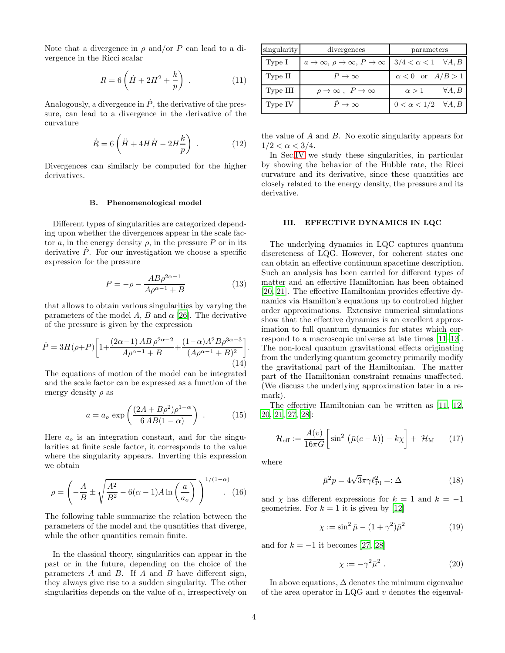Note that a divergence in  $\rho$  and/or P can lead to a divergence in the Ricci scalar

$$
R = 6\left(\dot{H} + 2H^2 + \frac{k}{p}\right) \tag{11}
$$

Analogously, a divergence in  $\dot{P}$ , the derivative of the pressure, can lead to a divergence in the derivative of the curvature

$$
\dot{R} = 6\left(\ddot{H} + 4H\dot{H} - 2H\frac{k}{p}\right) \tag{12}
$$

Divergences can similarly be computed for the higher derivatives.

## B. Phenomenological model

Different types of singularities are categorized depending upon whether the divergences appear in the scale factor a, in the energy density  $\rho$ , in the pressure P or in its derivative  $\overrightarrow{P}$ . For our investigation we choose a specific expression for the pressure

<span id="page-4-2"></span>
$$
P = -\rho - \frac{AB\rho^{2\alpha - 1}}{A\rho^{\alpha - 1} + B} \tag{13}
$$

that allows to obtain various singularities by varying the parameters of the model A, B and  $\alpha$  [\[26\]](#page-12-18). The derivative of the pressure is given by the expression

$$
\dot{P} = 3H(\rho+P)\left[1 + \frac{(2\alpha - 1)AB\rho^{2\alpha - 2}}{A\rho^{\alpha - 1} + B} + \frac{(1 - \alpha)A^2B\rho^{3\alpha - 3}}{(A\rho^{\alpha - 1} + B)^2}\right].
$$
\n(14)

The equations of motion of the model can be integrated and the scale factor can be expressed as a function of the energy density  $\rho$  as

<span id="page-4-3"></span>
$$
a = a_o \exp\left(\frac{(2A + B\rho^2)\rho^{1-\alpha}}{6AB(1-\alpha)}\right) \,. \tag{15}
$$

Here  $a<sub>o</sub>$  is an integration constant, and for the singularities at finite scale factor, it corresponds to the value where the singularity appears. Inverting this expression we obtain

$$
\rho = \left(-\frac{A}{B} \pm \sqrt{\frac{A^2}{B^2} - 6(\alpha - 1)A \ln\left(\frac{a}{a_o}\right)}\right)^{1/(1-\alpha)}.\tag{16}
$$

The following table summarize the relation between the parameters of the model and the quantities that diverge, while the other quantities remain finite.

In the classical theory, singularities can appear in the past or in the future, depending on the choice of the parameters  $A$  and  $B$ . If  $A$  and  $B$  have different sign, they always give rise to a sudden singularity. The other singularities depends on the value of  $\alpha$ , irrespectively on

| singularity | divergences                                                                             | parameters                            |
|-------------|-----------------------------------------------------------------------------------------|---------------------------------------|
| Type I      | $a \to \infty$ , $\rho \to \infty$ , $P \to \infty$   3/4 < $\alpha$ < 1 $\forall A, B$ |                                       |
| Type II     | $P\to\infty$                                                                            | $\alpha < 0$ or $A/B > 1$             |
| Type III    | $\rho \to \infty$ , $P \to \infty$                                                      | $\alpha > 1$ $\forall A, B$           |
| Type IV     | $P \to \infty$                                                                          | $0 < \alpha < 1/2 \quad \forall A, B$ |
|             |                                                                                         |                                       |

the value of A and B. No exotic singularity appears for  $1/2 < \alpha < 3/4$ .

In Sec[.IV](#page-6-0) we study these singularities, in particular by showing the behavior of the Hubble rate, the Ricci curvature and its derivative, since these quantities are closely related to the energy density, the pressure and its derivative.

## <span id="page-4-0"></span>III. EFFECTIVE DYNAMICS IN LQC

The underlying dynamics in LQC captures quantum discreteness of LQG. However, for coherent states one can obtain an effective continuum spacetime description. Such an analysis has been carried for different types of matter and an effective Hamiltonian has been obtained [\[20,](#page-12-11) [21\]](#page-12-12). The effective Hamiltonian provides effective dynamics via Hamilton's equations up to controlled higher order approximations. Extensive numerical simulations show that the effective dynamics is an excellent approximation to full quantum dynamics for states which correspond to a macroscopic universe at late times [\[11](#page-12-15)[–13\]](#page-12-4). The non-local quantum gravitational effects originating from the underlying quantum geometry primarily modify the gravitational part of the Hamiltonian. The matter part of the Hamiltonian constraint remains unaffected. (We discuss the underlying approximation later in a remark).

The effective Hamiltonian can be written as [\[11](#page-12-15), [12](#page-12-3), [20,](#page-12-11) [21](#page-12-12), [27](#page-12-19), [28](#page-12-20)]:

<span id="page-4-1"></span>
$$
\mathcal{H}_{\text{eff}} := \frac{A(v)}{16\pi G} \left[ \sin^2 \left( \bar{\mu}(c - k) \right) - k\chi \right] + \mathcal{H}_{\text{M}} \qquad (17)
$$

where

$$
\bar{\mu}^2 p = 4\sqrt{3}\pi\gamma \ell_{\rm Pl}^2 =: \Delta \tag{18}
$$

and  $\chi$  has different expressions for  $k = 1$  and  $k = -1$ geometries. For  $k = 1$  it is given by [\[12\]](#page-12-3)

$$
\chi := \sin^2 \bar{\mu} - (1 + \gamma^2)\bar{\mu}^2 \tag{19}
$$

and for  $k = -1$  it becomes [\[27,](#page-12-19) [28\]](#page-12-20)

$$
\chi := -\gamma^2 \bar{\mu}^2 \ . \tag{20}
$$

In above equations,  $\Delta$  denotes the minimum eigenvalue of the area operator in LQG and  $v$  denotes the eigenval-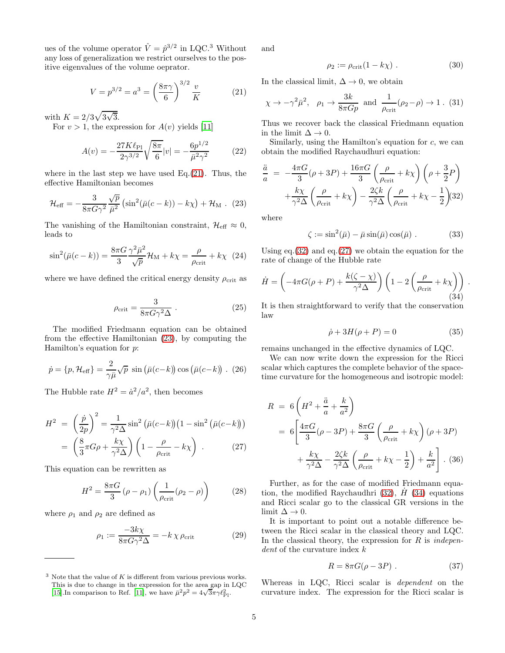ues of the volume operator  $\hat{V} = \hat{p}^{3/2}$  in LQC.<sup>3</sup> Without any loss of generalization we restrict ourselves to the positive eigenvalues of the volume oeprator.

$$
V = p^{3/2} = a^3 = \left(\frac{8\pi\gamma}{6}\right)^{3/2} \frac{v}{K}
$$
 (21)

with  $K = 2/3\sqrt{3\sqrt{3}}$ .

For  $v > 1$ , the expression for  $A(v)$  yields [\[11](#page-12-15)]

<span id="page-5-1"></span>
$$
A(v) = -\frac{27K\ell_{\text{Pl}}}{2\gamma^{3/2}}\sqrt{\frac{8\pi}{6}}|v| = -\frac{6p^{1/2}}{\bar{\mu}^2\gamma^2}
$$
(22)

where in the last step we have used Eq. $(21)$ . Thus, the effective Hamiltonian becomes

$$
\mathcal{H}_{\text{eff}} = -\frac{3}{8\pi G\gamma^2} \frac{\sqrt{p}}{\bar{\mu}^2} \left( \sin^2(\bar{\mu}(c-k)) - k\chi \right) + \mathcal{H}_{\text{M}} \ . \tag{23}
$$

The vanishing of the Hamiltonian constraint,  $\mathcal{H}_{\text{eff}} \approx 0$ , leads to

$$
\sin^2(\bar{\mu}(c-k)) = \frac{8\pi G}{3} \frac{\gamma^2 \bar{\mu}^2}{\sqrt{p}} \mathcal{H}_{\rm M} + k\chi = \frac{\rho}{\rho_{\rm crit}} + k\chi \quad (24)
$$

where we have defined the critical energy density  $\rho_{\rm crit}$  as

$$
\rho_{\rm crit} = \frac{3}{8\pi G\gamma^2 \Delta} \ . \tag{25}
$$

The modified Friedmann equation can be obtained from the effective Hamiltonian [\(23\)](#page-5-1), by computing the Hamilton's equation for  $p$ :

$$
\dot{p} = \{p, \mathcal{H}_{\text{eff}}\} = \frac{2}{\gamma \bar{\mu}} \sqrt{p} \sin\left(\bar{\mu}(c-k)\right) \cos\left(\bar{\mu}(c-k)\right). (26)
$$

The Hubble rate  $H^2 = \dot{a}^2/a^2$ , then becomes

<span id="page-5-3"></span>
$$
H^{2} = \left(\frac{\dot{p}}{2p}\right)^{2} = \frac{1}{\gamma^{2}\Delta} \sin^{2}\left(\bar{\mu}(c-k)\right) \left(1 - \sin^{2}\left(\bar{\mu}(c-k)\right)\right)
$$

$$
= \left(\frac{8}{3}\pi G\rho + \frac{k\chi}{\gamma^{2}\Delta}\right) \left(1 - \frac{\rho}{\rho_{\rm crit}} - k\chi\right) . \tag{27}
$$

 $\rho_{\rm crit}$ 

This equation can be rewritten as

$$
H^2 = \frac{8\pi G}{3} \left(\rho - \rho_1\right) \left(\frac{1}{\rho_{\rm crit}} (\rho_2 - \rho)\right) \tag{28}
$$

where  $\rho_1$  and  $\rho_2$  are defined as

$$
\rho_1 := \frac{-3k\chi}{8\pi G\gamma^2 \Delta} = -k\,\chi \,\rho_{\text{crit}} \tag{29}
$$

and

$$
\rho_2 := \rho_{\rm crit}(1 - k\chi) \tag{30}
$$

<span id="page-5-0"></span>In the classical limit,  $\Delta \rightarrow 0$ , we obtain

$$
\chi \to -\gamma^2 \bar{\mu}^2
$$
,  $\rho_1 \to \frac{3k}{8\pi Gp}$  and  $\frac{1}{\rho_{\rm crit}} (\rho_2 - \rho) \to 1$ . (31)

Thus we recover back the classical Friedmann equation in the limit  $\Delta \to 0$ .

Similarly, using the Hamilton's equation for  $c$ , we can obtain the modified Raychaudhuri equation:

<span id="page-5-2"></span>
$$
\frac{\ddot{a}}{a} = -\frac{4\pi G}{3}(\rho + 3P) + \frac{16\pi G}{3} \left(\frac{\rho}{\rho_{\text{crit}}} + k\chi\right) \left(\rho + \frac{3}{2}P\right) \n+ \frac{k\chi}{\gamma^2 \Delta} \left(\frac{\rho}{\rho_{\text{crit}}} + k\chi\right) - \frac{2\zeta k}{\gamma^2 \Delta} \left(\frac{\rho}{\rho_{\text{crit}}} + k\chi - \frac{1}{2}\right) (32)
$$

where

<span id="page-5-4"></span>
$$
\zeta := \sin^2(\bar{\mu}) - \bar{\mu}\sin(\bar{\mu})\cos(\bar{\mu}). \tag{33}
$$

Using eq.  $(32)$  and eq.  $(27)$  we obtain the equation for the rate of change of the Hubble rate

$$
\dot{H} = \left(-4\pi G(\rho + P) + \frac{k(\zeta - \chi)}{\gamma^2 \Delta}\right) \left(1 - 2\left(\frac{\rho}{\rho_{\rm crit}} + k\chi\right)\right) .
$$
\n(34)

It is then straightforward to verify that the conservation law

$$
\dot{\rho} + 3H(\rho + P) = 0 \tag{35}
$$

remains unchanged in the effective dynamics of LQC.

We can now write down the expression for the Ricci scalar which captures the complete behavior of the spacetime curvature for the homogeneous and isotropic model:

$$
R = 6\left(H^2 + \frac{\ddot{a}}{a} + \frac{k}{a^2}\right)
$$
  
=  $6\left[\frac{4\pi G}{3}(\rho - 3P) + \frac{8\pi G}{3}\left(\frac{\rho}{\rho_{\text{crit}}} + k\chi\right)(\rho + 3P) + \frac{k\chi}{\gamma^2 \Delta} - \frac{2\zeta k}{\gamma^2 \Delta}\left(\frac{\rho}{\rho_{\text{crit}}} + k\chi - \frac{1}{2}\right) + \frac{k}{a^2}\right]$ . (36)

Further, as for the case of modified Friedmann equation, the modified Raychaudhri  $(32)$ ,  $H(34)$  $H(34)$  equations and Ricci scalar go to the classical GR versions in the limit  $\Delta \to 0$ .

It is important to point out a notable difference between the Ricci scalar in the classical theory and LQC. In the classical theory, the expression for  $R$  is *indepen*dent of the curvature index  $k$ 

$$
R = 8\pi G(\rho - 3P) \tag{37}
$$

Whereas in LQC, Ricci scalar is dependent on the curvature index. The expression for the Ricci scalar is

 $3$  Note that the value of K is different from various previous works. This is due to change in the expression for the area gap in LQC [\[15](#page-12-6)]. In comparison to Ref. [\[11](#page-12-15)], we have  $\bar{\mu}^2 p^2 = 4\sqrt{3}\pi \gamma {\ell}_{\text{Pl}}^2$ .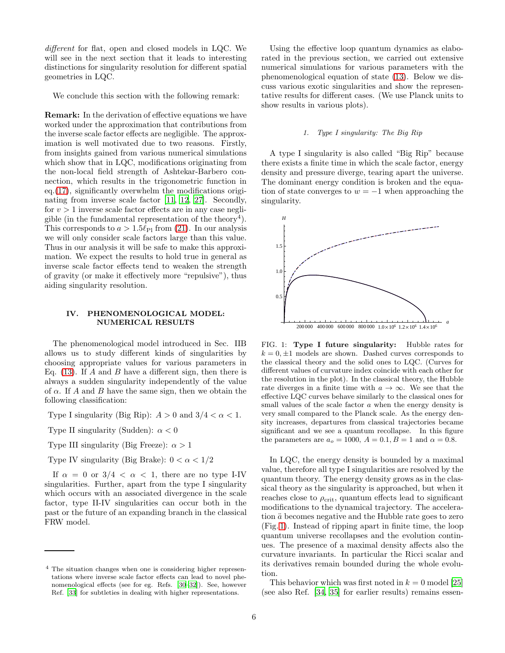different for flat, open and closed models in LQC. We will see in the next section that it leads to interesting distinctions for singularity resolution for different spatial geometries in LQC.

We conclude this section with the following remark:

Remark: In the derivation of effective equations we have worked under the approximation that contributions from the inverse scale factor effects are negligible. The approximation is well motivated due to two reasons. Firstly, from insights gained from various numerical simulations which show that in LQC, modifications originating from the non-local field strength of Ashtekar-Barbero connection, which results in the trigonometric function in eq.[\(17\)](#page-4-1), significantly overwhelm the modifications originating from inverse scale factor [\[11,](#page-12-15) [12,](#page-12-3) [27\]](#page-12-19). Secondly, for  $v > 1$  inverse scale factor effects are in any case negligible (in the fundamental representation of the theory<sup>4</sup>). This corresponds to  $a > 1.5\ell_{\text{Pl}}$  from [\(21\)](#page-5-0). In our analysis we will only consider scale factors large than this value. Thus in our analysis it will be safe to make this approximation. We expect the results to hold true in general as inverse scale factor effects tend to weaken the strength of gravity (or make it effectively more "repulsive"), thus aiding singularity resolution.

## <span id="page-6-0"></span>IV. PHENOMENOLOGICAL MODEL: NUMERICAL RESULTS

The phenomenological model introduced in Sec. IIB allows us to study different kinds of singularities by choosing appropriate values for various parameters in Eq.  $(13)$ . If A and B have a different sign, then there is always a sudden singularity independently of the value of  $\alpha$ . If A and B have the same sign, then we obtain the following classification:

Type I singularity (Big Rip):  $A > 0$  and  $3/4 < \alpha < 1$ .

Type II singularity (Sudden):  $\alpha < 0$ 

Type III singularity (Big Freeze):  $\alpha > 1$ 

Type IV singularity (Big Brake):  $0 < \alpha < 1/2$ 

If  $\alpha = 0$  or  $3/4 < \alpha < 1$ , there are no type I-IV singularities. Further, apart from the type I singularity which occurs with an associated divergence in the scale factor, type II-IV singularities can occur both in the past or the future of an expanding branch in the classical FRW model.

Using the effective loop quantum dynamics as elaborated in the previous section, we carried out extensive numerical simulations for various parameters with the phenomenological equation of state [\(13\)](#page-4-2). Below we discuss various exotic singularities and show the representative results for different cases. (We use Planck units to show results in various plots).

#### *1. Type I singularity: The Big Rip*

A type I singularity is also called "Big Rip" because there exists a finite time in which the scale factor, energy density and pressure diverge, tearing apart the universe. The dominant energy condition is broken and the equation of state converges to  $w = -1$  when approaching the singularity.



<span id="page-6-1"></span>FIG. 1: Type I future singularity: Hubble rates for  $k = 0, \pm 1$  models are shown. Dashed curves corresponds to the classical theory and the solid ones to LQC. (Curves for different values of curvature index coincide with each other for the resolution in the plot). In the classical theory, the Hubble rate diverges in a finite time with  $a \to \infty$ . We see that the effective LQC curves behave similarly to the classical ones for small values of the scale factor a when the energy density is very small compared to the Planck scale. As the energy density increases, departures from classical trajectories became significant and we see a quantum recollapse. In this figure the parameters are  $a<sub>o</sub> = 1000$ ,  $A = 0.1$ ,  $B = 1$  and  $\alpha = 0.8$ .

In LQC, the energy density is bounded by a maximal value, therefore all type I singularities are resolved by the quantum theory. The energy density grows as in the classical theory as the singularity is approached, but when it reaches close to  $\rho_{\rm crit}$ , quantum effects lead to significant modifications to the dynamical trajectory. The acceleration  $\ddot{a}$  becomes negative and the Hubble rate goes to zero (Fig. [1\)](#page-6-1). Instead of ripping apart in finite time, the loop quantum universe recollapses and the evolution continues. The presence of a maximal density affects also the curvature invariants. In particular the Ricci scalar and its derivatives remain bounded during the whole evolution.

This behavior which was first noted in  $k = 0$  model [\[25](#page-12-17)] (see also Ref. [\[34,](#page-12-25) [35](#page-12-26)] for earlier results) remains essen-

<sup>4</sup> The situation changes when one is considering higher representations where inverse scale factor effects can lead to novel phenomenological effects (see for eg. Refs. [\[30](#page-12-22)[–32](#page-12-23)]). See, however Ref. [\[33](#page-12-24)] for subtleties in dealing with higher representations.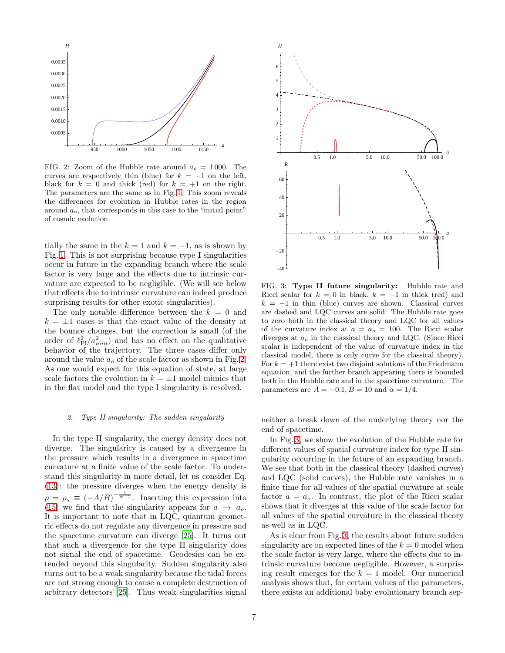

<span id="page-7-0"></span>FIG. 2: Zoom of the Hubble rate around  $a<sub>o</sub> = 1000$ . The curves are respectively thin (blue) for  $k = -1$  on the left, black for  $k = 0$  and thick (red) for  $k = +1$  on the right. The parameters are the same as in Fig. [1.](#page-6-1) This zoom reveals the differences for evolution in Hubble rates in the region around  $a_{\rm o}$ , that corresponds in this case to the "initial point" of cosmic evolution.

tially the same in the  $k = 1$  and  $k = -1$ , as is shown by Fig. [1.](#page-6-1) This is not surprising because type I singularities occur in future in the expanding branch where the scale factor is very large and the effects due to intrinsic curvature are expected to be negligible. (We will see below that effects due to intrinsic curvature can indeed produce surprising results for other exotic singularities).

The only notable difference between the  $k = 0$  and  $k = \pm 1$  cases is that the exact value of the density at the bounce changes, but the correction is small (of the order of  $\ell_{\rm Pl}^2/a_{min}^2$  and has no effect on the qualitative behavior of the trajectory. The three cases differ only around the value  $a<sub>o</sub>$  of the scale factor as shown in Fig. [2.](#page-7-0) As one would expect for this equation of state, at large scale factors the evolution in  $k = \pm 1$  model mimics that in the flat model and the type I singularity is resolved.

### *2. Type II singularity: The sudden singularity*

In the type II singularity, the energy density does not diverge. The singularity is caused by a divergence in the pressure which results in a divergence in spacetime curvature at a finite value of the scale factor. To understand this singularity in more detail, let us consider Eq. [\(13\)](#page-4-2): the pressure diverges when the energy density is  $\rho = \rho_s \equiv (-A/B)^{-\frac{1}{\alpha-1}}$ . Inserting this expression into [\(15\)](#page-4-3) we find that the singularity appears for  $a \rightarrow a_o$ . It is important to note that in LQC, quantum geometric effects do not regulate any divergence in pressure and the spacetime curvature can diverge [\[25\]](#page-12-17). It turns out that such a divergence for the type II singularity does not signal the end of spacetime. Geodesics can be extended beyond this singularity. Sudden singularity also turns out to be a weak singularity because the tidal forces are not strong enough to cause a complete destruction of arbitrary detectors [\[25\]](#page-12-17). Thus weak singularities signal



<span id="page-7-1"></span>FIG. 3: Type II future singularity: Hubble rate and Ricci scalar for  $k = 0$  in black,  $k = +1$  in thick (red) and  $k = -1$  in thin (blue) curves are shown. Classical curves are dashed and LQC curves are solid. The Hubble rate goes to zero both in the classical theory and LQC for all values of the curvature index at  $a = a_o = 100$ . The Ricci scalar diverges at  $a<sub>o</sub>$  in the classical theory and LQC. (Since Ricci scalar is independent of the value of curvature index in the classical model, there is only curve for the classical theory). For  $k = +1$  there exist two disjoint solutions of the Friedmann equation, and the further branch appearing there is bounded both in the Hubble rate and in the spacetime curvature. The parameters are  $A = -0.1, B = 10$  and  $\alpha = 1/4$ .

neither a break down of the underlying theory nor the end of spacetime.

In Fig. [3,](#page-7-1) we show the evolution of the Hubble rate for different values of spatial curvature index for type II singularity occurring in the future of an expanding branch. We see that both in the classical theory (dashed curves) and LQC (solid curves), the Hubble rate vanishes in a finite time for all values of the spatial curvature at scale factor  $a = a_o$ . In contrast, the plot of the Ricci scalar shows that it diverges at this value of the scale factor for all values of the spatial curvature in the classical theory as well as in LQC.

As is clear from Fig. [3,](#page-7-1) the results about future sudden singularity are on expected lines of the  $k = 0$  model when the scale factor is very large, where the effects due to intrinsic curvature become negligible. However, a surprising result emerges for the  $k = 1$  model. Our numerical analysis shows that, for certain values of the parameters, there exists an additional baby evolutionary branch sep-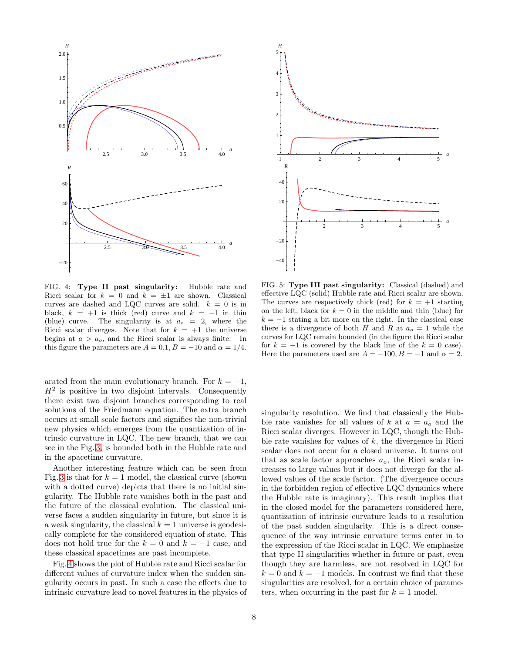

<span id="page-8-0"></span>FIG. 4: Type II past singularity: Hubble rate and Ricci scalar for  $k = 0$  and  $k = \pm 1$  are shown. Classical curves are dashed and LQC curves are solid.  $k = 0$  is in black,  $k = +1$  is thick (red) curve and  $k = -1$  in thin (blue) curve. The singularity is at  $a<sub>o</sub> = 2$ , where the Ricci scalar diverges. Note that for  $k = +1$  the universe begins at  $a > a_o$ , and the Ricci scalar is always finite. In this figure the parameters are  $A = 0.1, B = -10$  and  $\alpha = 1/4$ .

arated from the main evolutionary branch. For  $k = +1$ ,  $H<sup>2</sup>$  is positive in two disjoint intervals. Consequently there exist two disjoint branches corresponding to real solutions of the Friedmann equation. The extra branch occurs at small scale factors and signifies the non-trivial new physics which emerges from the quantization of intrinsic curvature in LQC. The new branch, that we can see in the Fig. [3,](#page-7-1) is bounded both in the Hubble rate and in the spacetime curvature.

Another interesting feature which can be seen from Fig. [3](#page-7-1) is that for  $k = 1$  model, the classical curve (shown with a dotted curve) depicts that there is no initial singularity. The Hubble rate vanishes both in the past and the future of the classical evolution. The classical universe faces a sudden singularity in future, but since it is a weak singularity, the classical  $k = 1$  universe is geodesically complete for the considered equation of state. This does not hold true for the  $k = 0$  and  $k = -1$  case, and these classical spacetimes are past incomplete.

Fig. [4](#page-8-0) shows the plot of Hubble rate and Ricci scalar for different values of curvature index when the sudden singularity occurs in past. In such a case the effects due to intrinsic curvature lead to novel features in the physics of



<span id="page-8-1"></span>FIG. 5: Type III past singularity: Classical (dashed) and effective LQC (solid) Hubble rate and Ricci scalar are shown. The curves are respectively thick (red) for  $k = +1$  starting on the left, black for  $k = 0$  in the middle and thin (blue) for  $k = -1$  stating a bit more on the right. In the classical case there is a divergence of both H and R at  $a_0 = 1$  while the curves for LQC remain bounded (in the figure the Ricci scalar for  $k = -1$  is covered by the black line of the  $k = 0$  case). Here the parameters used are  $A = -100, B = -1$  and  $\alpha = 2$ .

singularity resolution. We find that classically the Hubble rate vanishes for all values of k at  $a = a_0$  and the Ricci scalar diverges. However in LQC, though the Hubble rate vanishes for values of  $k$ , the divergence in Ricci scalar does not occur for a closed universe. It turns out that as scale factor approaches  $a<sub>o</sub>$ , the Ricci scalar increases to large values but it does not diverge for the allowed values of the scale factor. (The divergence occurs in the forbidden region of effective LQC dynamics where the Hubble rate is imaginary). This result implies that in the closed model for the parameters considered here, quantization of intrinsic curvature leads to a resolution of the past sudden singularity. This is a direct consequence of the way intrinsic curvature terms enter in to the expression of the Ricci scalar in LQC. We emphasize that type II singularities whether in future or past, even though they are harmless, are not resolved in LQC for  $k = 0$  and  $k = -1$  models. In contrast we find that these singularities are resolved, for a certain choice of parameters, when occurring in the past for  $k = 1$  model.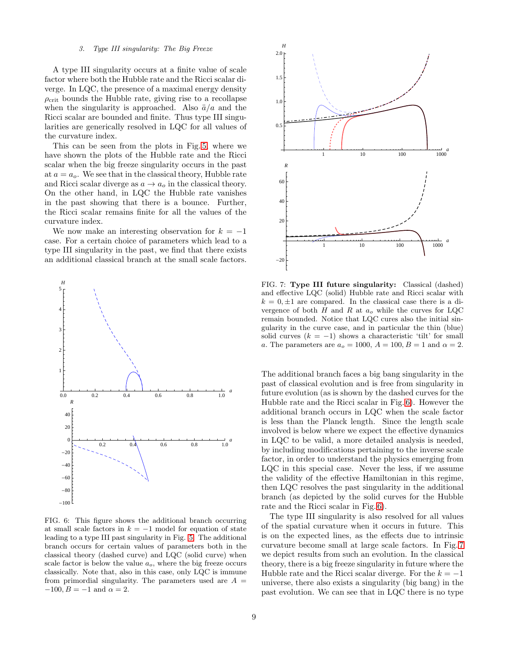### *3. Type III singularity: The Big Freeze*

A type III singularity occurs at a finite value of scale factor where both the Hubble rate and the Ricci scalar diverge. In LQC, the presence of a maximal energy density  $\rho_{\rm crit}$  bounds the Hubble rate, giving rise to a recollapse when the singularity is approached. Also  $\ddot{a}/a$  and the Ricci scalar are bounded and finite. Thus type III singularities are generically resolved in LQC for all values of the curvature index.

This can be seen from the plots in Fig. [5,](#page-8-1) where we have shown the plots of the Hubble rate and the Ricci scalar when the big freeze singularity occurs in the past at  $a = a_o$ . We see that in the classical theory, Hubble rate and Ricci scalar diverge as  $a \to a_o$  in the classical theory. On the other hand, in LQC the Hubble rate vanishes in the past showing that there is a bounce. Further, the Ricci scalar remains finite for all the values of the curvature index.

We now make an interesting observation for  $k = -1$ case. For a certain choice of parameters which lead to a type III singularity in the past, we find that there exists an additional classical branch at the small scale factors.



<span id="page-9-0"></span>FIG. 6: This figure shows the additional branch occurring at small scale factors in  $k = -1$  model for equation of state leading to a type III past singularity in Fig. [5.](#page-8-1) The additional branch occurs for certain values of parameters both in the classical theory (dashed curve) and LQC (solid curve) when scale factor is below the value  $a<sub>o</sub>$ , where the big freeze occurs classically. Note that, also in this case, only LQC is immune from primordial singularity. The parameters used are  $A =$  $-100, B = -1$  and  $\alpha = 2$ .



<span id="page-9-1"></span>FIG. 7: Type III future singularity: Classical (dashed) and effective LQC (solid) Hubble rate and Ricci scalar with  $k = 0, \pm 1$  are compared. In the classical case there is a divergence of both  $H$  and  $R$  at  $a_o$  while the curves for LQC remain bounded. Notice that LQC cures also the initial singularity in the curve case, and in particular the thin (blue) solid curves  $(k = -1)$  shows a characteristic 'tilt' for small a. The parameters are  $a<sub>o</sub> = 1000$ ,  $A = 100$ ,  $B = 1$  and  $\alpha = 2$ .

The additional branch faces a big bang singularity in the past of classical evolution and is free from singularity in future evolution (as is shown by the dashed curves for the Hubble rate and the Ricci scalar in Fig. [6\)](#page-9-0). However the additional branch occurs in LQC when the scale factor is less than the Planck length. Since the length scale involved is below where we expect the effective dynamics in LQC to be valid, a more detailed analysis is needed, by including modifications pertaining to the inverse scale factor, in order to understand the physics emerging from LQC in this special case. Never the less, if we assume the validity of the effective Hamiltonian in this regime, then LQC resolves the past singularity in the additional branch (as depicted by the solid curves for the Hubble rate and the Ricci scalar in Fig. [6\)](#page-9-0).

The type III singularity is also resolved for all values of the spatial curvature when it occurs in future. This is on the expected lines, as the effects due to intrinsic curvature become small at large scale factors. In Fig. [7](#page-9-1) we depict results from such an evolution. In the classical theory, there is a big freeze singularity in future where the Hubble rate and the Ricci scalar diverge. For the  $k = -1$ universe, there also exists a singularity (big bang) in the past evolution. We can see that in LQC there is no type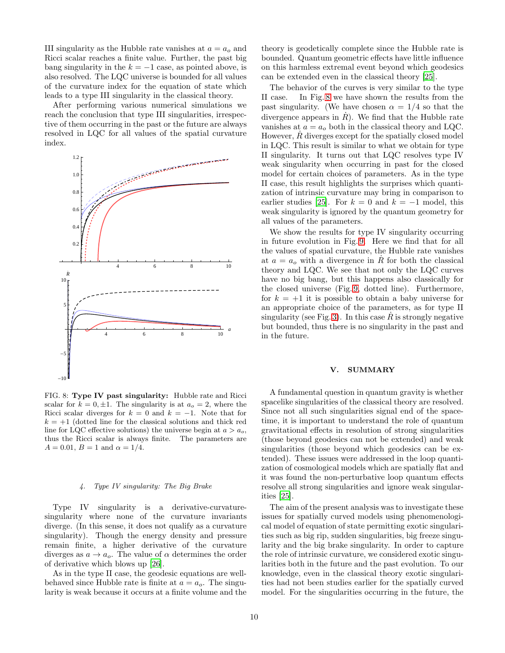III singularity as the Hubble rate vanishes at  $a = a_o$  and Ricci scalar reaches a finite value. Further, the past big bang singularity in the  $k = -1$  case, as pointed above, is also resolved. The LQC universe is bounded for all values of the curvature index for the equation of state which leads to a type III singularity in the classical theory.

After performing various numerical simulations we reach the conclusion that type III singularities, irrespective of them occurring in the past or the future are always resolved in LQC for all values of the spatial curvature index.



<span id="page-10-1"></span>FIG. 8: Type IV past singularity: Hubble rate and Ricci scalar for  $k = 0, \pm 1$ . The singularity is at  $a<sub>o</sub> = 2$ , where the Ricci scalar diverges for  $k = 0$  and  $k = -1$ . Note that for  $k = +1$  (dotted line for the classical solutions and thick red line for LQC effective solutions) the universe begin at  $a > a_o$ , thus the Ricci scalar is always finite. The parameters are  $A = 0.01, B = 1$  and  $\alpha = 1/4$ .

#### *4. Type IV singularity: The Big Brake*

Type IV singularity is a derivative-curvaturesingularity where none of the curvature invariants diverge. (In this sense, it does not qualify as a curvature singularity). Though the energy density and pressure remain finite, a higher derivative of the curvature diverges as  $a \to a_o$ . The value of  $\alpha$  determines the order of derivative which blows up [\[26](#page-12-18)].

As in the type II case, the geodesic equations are wellbehaved since Hubble rate is finite at  $a = a_o$ . The singularity is weak because it occurs at a finite volume and the

theory is geodetically complete since the Hubble rate is bounded. Quantum geometric effects have little influence on this harmless extremal event beyond which geodesics can be extended even in the classical theory [\[25\]](#page-12-17).

The behavior of the curves is very similar to the type II case. In Fig. [8](#page-10-1) we have shown the results from the past singularity. (We have chosen  $\alpha = 1/4$  so that the divergence appears in  $\dot{R}$ ). We find that the Hubble rate vanishes at  $a = a_o$  both in the classical theory and LQC. However,  $R$  diverges except for the spatially closed model in LQC. This result is similar to what we obtain for type II singularity. It turns out that LQC resolves type IV weak singularity when occurring in past for the closed model for certain choices of parameters. As in the type II case, this result highlights the surprises which quantization of intrinsic curvature may bring in comparison to earlier studies [\[25\]](#page-12-17). For  $k = 0$  and  $k = -1$  model, this weak singularity is ignored by the quantum geometry for all values of the parameters.

We show the results for type IV singularity occurring in future evolution in Fig. [9.](#page-11-3) Here we find that for all the values of spatial curvature, the Hubble rate vanishes at  $a = a_o$  with a divergence in  $\dot{R}$  for both the classical theory and LQC. We see that not only the LQC curves have no big bang, but this happens also classically for the closed universe (Fig. [9,](#page-11-3) dotted line). Furthermore, for  $k = +1$  it is possible to obtain a baby universe for an appropriate choice of the parameters, as for type II singularity (see Fig. [3\)](#page-7-1). In this case  $\dot{R}$  is strongly negative but bounded, thus there is no singularity in the past and in the future.

#### <span id="page-10-0"></span>V. SUMMARY

A fundamental question in quantum gravity is whether spacelike singularities of the classical theory are resolved. Since not all such singularities signal end of the spacetime, it is important to understand the role of quantum gravitational effects in resolution of strong singularities (those beyond geodesics can not be extended) and weak singularities (those beyond which geodesics can be extended). These issues were addressed in the loop quantization of cosmological models which are spatially flat and it was found the non-perturbative loop quantum effects resolve all strong singularities and ignore weak singularities [\[25\]](#page-12-17).

The aim of the present analysis was to investigate these issues for spatially curved models using phenomenological model of equation of state permitting exotic singularities such as big rip, sudden singularities, big freeze singularity and the big brake singularity. In order to capture the role of intrinsic curvature, we considered exotic singularities both in the future and the past evolution. To our knowledge, even in the classical theory exotic singularities had not been studies earlier for the spatially curved model. For the singularities occurring in the future, the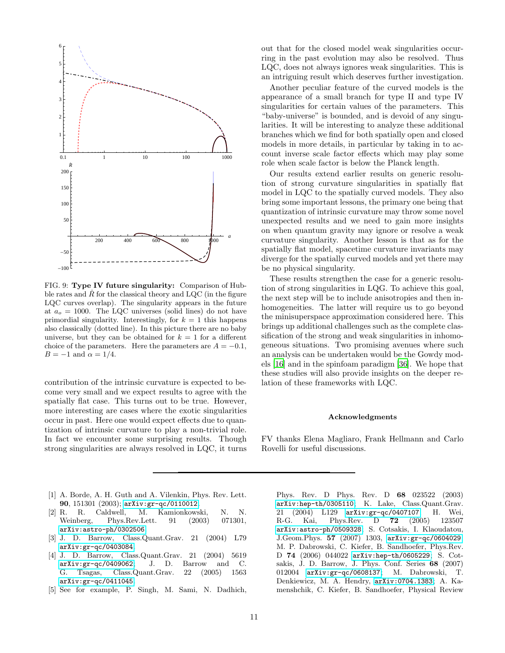

<span id="page-11-3"></span>FIG. 9: Type IV future singularity: Comparison of Hubble rates and  $\dot{R}$  for the classical theory and LQC (in the figure LQC curves overlap). The singularity appears in the future at  $a<sub>o</sub> = 1000$ . The LQC universes (solid lines) do not have primordial singularity. Interestingly, for  $k = 1$  this happens also classically (dotted line). In this picture there are no baby universe, but they can be obtained for  $k = 1$  for a different choice of the parameters. Here the parameters are  $A = -0.1$ ,  $B = -1$  and  $\alpha = 1/4$ .

contribution of the intrinsic curvature is expected to become very small and we expect results to agree with the spatially flat case. This turns out to be true. However, more interesting are cases where the exotic singularities occur in past. Here one would expect effects due to quantization of intrinsic curvature to play a non-trivial role. In fact we encounter some surprising results. Though strong singularities are always resolved in LQC, it turns

- <span id="page-11-0"></span>[1] A. Borde, A. H. Guth and A. Vilenkin, Phys. Rev. Lett. 90, 151301 (2003); [arXiv:gr-qc/0110012](http://arxiv.org/abs/gr-qc/0110012).
- <span id="page-11-1"></span>[2] R. R. Caldwell, M. Kamionkowski, N. N. Weinberg, Phys.Rev.Lett. 91 (2003) [arXiv:astro-ph/0302506](http://arxiv.org/abs/astro-ph/0302506).
- [3] J. D. Barrow, Class.Quant.Grav. 21 (2004) L79 [arXiv:gr-qc/0403084](http://arxiv.org/abs/gr-qc/0403084).
- [4] J. D. Barrow, Class.Quant.Grav. 21 (2004) 5619 [arXiv:gr-qc/0409062](http://arxiv.org/abs/gr-qc/0409062); J. D. Barrow and C. G. Tsagas, Class.Quant.Grav. 22 (2005) 1563 [arXiv:gr-qc/0411045](http://arxiv.org/abs/gr-qc/0411045).
- <span id="page-11-2"></span>[5] See for example, P. Singh, M. Sami, N. Dadhich,

out that for the closed model weak singularities occurring in the past evolution may also be resolved. Thus LQC, does not always ignores weak singularities. This is an intriguing result which deserves further investigation.

Another peculiar feature of the curved models is the appearance of a small branch for type II and type IV singularities for certain values of the parameters. This "baby-universe" is bounded, and is devoid of any singularities. It will be interesting to analyze these additional branches which we find for both spatially open and closed models in more details, in particular by taking in to account inverse scale factor effects which may play some role when scale factor is below the Planck length.

Our results extend earlier results on generic resolution of strong curvature singularities in spatially flat model in LQC to the spatially curved models. They also bring some important lessons, the primary one being that quantization of intrinsic curvature may throw some novel unexpected results and we need to gain more insights on when quantum gravity may ignore or resolve a weak curvature singularity. Another lesson is that as for the spatially flat model, spacetime curvature invariants may diverge for the spatially curved models and yet there may be no physical singularity.

These results strengthen the case for a generic resolution of strong singularities in LQG. To achieve this goal, the next step will be to include anisotropies and then inhomogeneities. The latter will require us to go beyond the minisuperspace approximation considered here. This brings up additional challenges such as the complete classification of the strong and weak singularities in inhomogeneous situations. Two promising avenues where such an analysis can be undertaken would be the Gowdy models [\[16\]](#page-12-7) and in the spinfoam paradigm [\[36\]](#page-12-27). We hope that these studies will also provide insights on the deeper relation of these frameworks with LQC.

#### Acknowledgments

FV thanks Elena Magliaro, Frank Hellmann and Carlo Rovelli for useful discussions.

Phys. Rev. D Phys. Rev. D 68 023522 (2003) [arXiv:hep-th/0305110](http://arxiv.org/abs/hep-th/0305110); K. Lake, Class.Quant.Grav. 21 (2004) L129 [arXiv:gr-qc/0407107](http://arxiv.org/abs/gr-qc/0407107); H. Wei, R-G. Kai, Phys.Rev. D 72 (2005) 123507 Phys.Rev. D **72** (2005) 123507 [arXiv:astro-ph/0509328](http://arxiv.org/abs/astro-ph/0509328); S. Cotsakis, I. Klaoudatou, J.Geom.Phys. 57 (2007) 1303, [arXiv:gr-qc/0604029](http://arxiv.org/abs/gr-qc/0604029); M. P. Dabrowski, C. Kiefer, B. Sandhoefer, Phys.Rev. D 74 (2006) 044022 [arXiv:hep-th/0605229](http://arxiv.org/abs/hep-th/0605229); S. Cotsakis, J. D. Barrow, J. Phys. Conf. Series 68 (2007) 012004 [arXiv:gr-qc/0608137](http://arxiv.org/abs/gr-qc/0608137); M. Dabrowski, T. Denkiewicz, M. A. Hendry, [arXiv:0704.1383](http://arxiv.org/abs/0704.1383); A. Kamenshchik, C. Kiefer, B. Sandhoefer, Physical Review